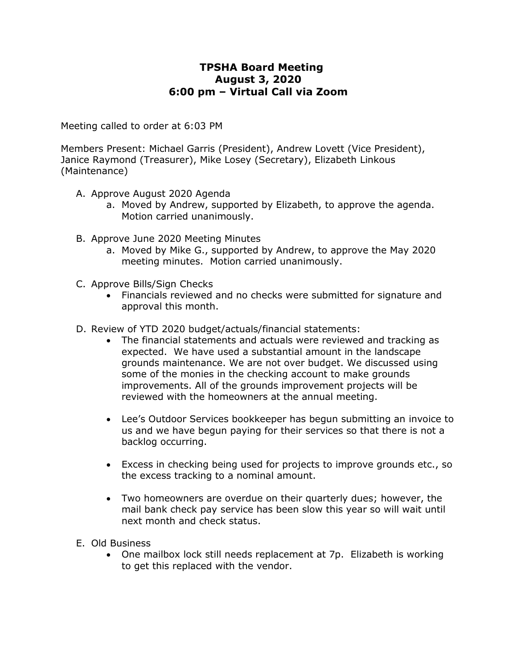# **TPSHA Board Meeting August 3, 2020 6:00 pm – Virtual Call via Zoom**

Meeting called to order at 6:03 PM

Members Present: Michael Garris (President), Andrew Lovett (Vice President), Janice Raymond (Treasurer), Mike Losey (Secretary), Elizabeth Linkous (Maintenance)

- A. Approve August 2020 Agenda
	- a. Moved by Andrew, supported by Elizabeth, to approve the agenda. Motion carried unanimously.
- B. Approve June 2020 Meeting Minutes
	- a. Moved by Mike G., supported by Andrew, to approve the May 2020 meeting minutes. Motion carried unanimously.
- C. Approve Bills/Sign Checks
	- Financials reviewed and no checks were submitted for signature and approval this month.
- D. Review of YTD 2020 budget/actuals/financial statements:
	- The financial statements and actuals were reviewed and tracking as expected. We have used a substantial amount in the landscape grounds maintenance. We are not over budget. We discussed using some of the monies in the checking account to make grounds improvements. All of the grounds improvement projects will be reviewed with the homeowners at the annual meeting.
	- Lee's Outdoor Services bookkeeper has begun submitting an invoice to us and we have begun paying for their services so that there is not a backlog occurring.
	- Excess in checking being used for projects to improve grounds etc., so the excess tracking to a nominal amount.
	- Two homeowners are overdue on their quarterly dues; however, the mail bank check pay service has been slow this year so will wait until next month and check status.
- E. Old Business
	- One mailbox lock still needs replacement at 7p. Elizabeth is working to get this replaced with the vendor.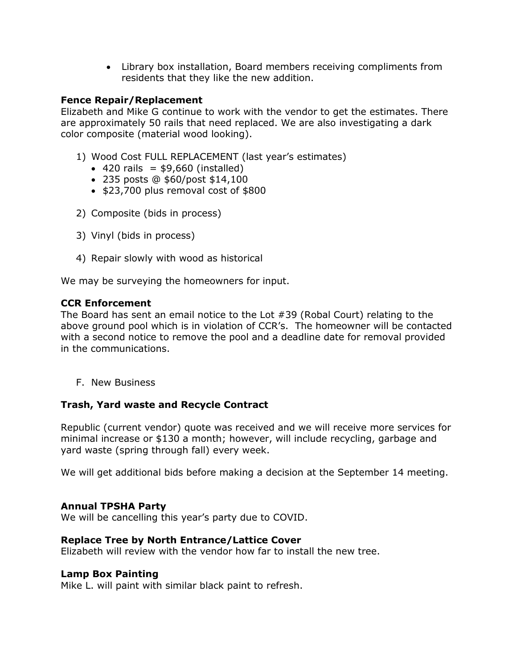Library box installation, Board members receiving compliments from residents that they like the new addition.

## **Fence Repair/Replacement**

Elizabeth and Mike G continue to work with the vendor to get the estimates. There are approximately 50 rails that need replaced. We are also investigating a dark color composite (material wood looking).

- 1) Wood Cost FULL REPLACEMENT (last year's estimates)
	- $\bullet$  420 rails = \$9,660 (installed)
	- 235 posts @ \$60/post \$14,100
	- $\bullet$  \$23,700 plus removal cost of \$800
- 2) Composite (bids in process)
- 3) Vinyl (bids in process)
- 4) Repair slowly with wood as historical

We may be surveying the homeowners for input.

#### **CCR Enforcement**

The Board has sent an email notice to the Lot #39 (Robal Court) relating to the above ground pool which is in violation of CCR's. The homeowner will be contacted with a second notice to remove the pool and a deadline date for removal provided in the communications.

F. New Business

#### **Trash, Yard waste and Recycle Contract**

Republic (current vendor) quote was received and we will receive more services for minimal increase or \$130 a month; however, will include recycling, garbage and yard waste (spring through fall) every week.

We will get additional bids before making a decision at the September 14 meeting.

#### **Annual TPSHA Party**

We will be cancelling this year's party due to COVID.

#### **Replace Tree by North Entrance/Lattice Cover**

Elizabeth will review with the vendor how far to install the new tree.

#### **Lamp Box Painting**

Mike L. will paint with similar black paint to refresh.